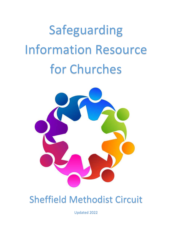# Safeguarding Information Resource for Churches



## Sheffield Methodist Circuit

Updated 2022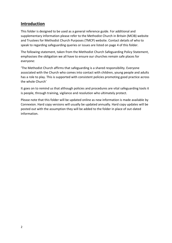## **Introduction**

This folder is designed to be used as a general reference guide. For additional and supplementary information please refer to the Methodist Church in Britain (MCIB) website and Trustees for Methodist Church Purposes (TMCP) website. Contact details of who to speak to regarding safeguarding queries or issues are listed on page 4 of this folder.

The following statement, taken from the Methodist Church Safeguarding Policy Statement, emphasises the obligation we all have to ensure our churches remain safe places for everyone:

'The Methodist Church affirms that safeguarding is a shared responsibility. Everyone associated with the Church who comes into contact with children, young people and adults has a role to play. This is supported with consistent policies promoting good practice across the whole Church'

It goes on to remind us that although policies and procedures are vital safeguarding tools it is people, through training, vigilance and resolution who ultimately protect.

Please note that this folder will be updated online as new information is made available by Connexion. Hard copy versions will usually be updated annually. Hard copy updates will be posted out with the assumption they will be added to the folder in place of out-dated information.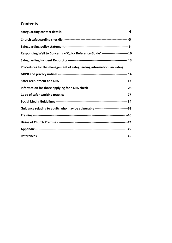## **Contents**

| Responding Well to Concerns - 'Quick Reference Guide' -------------------------10   |  |
|-------------------------------------------------------------------------------------|--|
|                                                                                     |  |
| Procedures for the management of safeguarding information, including                |  |
|                                                                                     |  |
|                                                                                     |  |
|                                                                                     |  |
|                                                                                     |  |
|                                                                                     |  |
| Guidance relating to adults who may be vulnerable -------------------------------38 |  |
|                                                                                     |  |
|                                                                                     |  |
|                                                                                     |  |
|                                                                                     |  |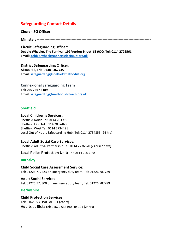## **Safeguarding Contact Details**

**Church SG Officer: -------------------------------------------------------------------------------**

**Minister: --------------------------------------------------------------------------------------------**

**Circuit Safeguarding Officer: Debbie Wheeler, The Furnival, 199 Verdon Street, S3 9QQ. Tel: 0114 2726561 Email: [debbie.wheeler@sheffieldcircuit.org.uk](mailto:debbie.wheeler@sheffieldcircuit.org.uk)**

**District Safeguarding Officer: Alison Hill, Tel: 07483 362735 Email: [safeguarding@sheffieldmethodist.org](mailto:safeguarding@sheffieldmethodist.org)**

**Connexional Safeguarding Team Tel: [020 7467 5189](tel:02074675189) Email: [safeguarding@methodistchurch.org.uk](mailto:safeguarding@methodistchurch.org.uk)**

## **Sheffield**

#### **Local Children's Services:**

Sheffield North Tel: 0114 2039591 Sheffield East Tel: 0114 2037463 Sheffield West Tel: 0114 2734491 Local Out of Hours Safeguarding Hub: Tel: 0114 2734855 (24 hrs)

## **Local Adult Social Care Services:**

Sheffield Adult SG Partnership Tel: 0114 2736870 (24hrs/7 days)

**Local Police Protection Unit:** Tel: 0114 2963968

## **Barnsley**

**Child Social Care Assessment Service:**  Tel: 01226 772423 or Emergency duty team, Tel: 01226 787789

**Adult Social Services** Tel: 01226 773300 or Emergency duty team, Tel: 01226 787789

## **Derbyshire**

**Child Protection Services** Tel: 01629 533190 or 101 (24hrs) **Adults at Risk:** Tel: 01629 533190 or 101 (24hrs)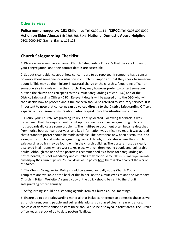## **Other Services**

**Police non-emergency: 101 Childline:** Tel: 0800 1111 **NSPCC:** Tel: 0808 800 5000 **Action on Elder Abuse:** Tel: 0808 808 8141 **National Domestic Abuse Helpline:** 0808 2000 247 **Samaritans:** 116 123

## **Church Safeguarding Checklist**

1. Please ensure you have a named Church Safeguarding Officer/s that they are known to your congregation, and their contact details are accessible.

2. Set out clear guidance about how concerns are to be reported. If someone has a concern or worry about someone, or a situation in church it is important that they speak to someone about it. This may be the minister in pastoral charge or the church safeguarding officer or someone else in a role within the church. They may however prefer to contact someone outside the church and can speak to the Circuit Safeguarding Officer (CSO) and or the District Safeguarding Officer (DSO). Relevant details will be passed onto the DSO who will then decide how to proceed and if the concern should be referred to statutory services. **It is important to note that concerns can be voiced directly to the District Safeguarding Officer, especially if someone is unsure about who to speak to or the situation is complex.** 

3. Ensure your Church Safeguarding Policy is easily located. Following feedback, it was determined that the requirement to put up the church or circuit safeguarding policy on noticeboards did cause some problems. The multi-page document often became detached from notice boards near doorways, and key information was difficult to read. It was agreed that a standard poster should be made available. The poster has now been distributed, and along with church and wider safeguarding contact details, it indicates where the church safeguarding policy may be found within the church building. The posters must be clearly displayed in all rooms where work takes place with children, young people and vulnerable adults. Although the use of the posters is recommended as a focus for safeguarding on notice boards, it is not mandatory and churches may continue to follow current requirements and display their current policy. You can download a poste[r here](https://www.methodist.org.uk/safeguarding/policies-procedure-and-information/posters/) There is also a copy at the rear of this folder.

4. The Church Safeguarding Policy should be agreed annually at the Church Council. Templates are available at the back of this folder, on the Circuit Website and the Methodist Church in Britain Website. A signed copy of the policy should be sent to the circuit safeguarding officer annually.

5. Safeguarding should be a standing agenda item at Church Council meetings.

6. Ensure up to date safeguarding material that includes reference to domestic abuse as well as for children, young people and vulnerable adults is displayed clearly near entrances. In the case of domestic abuse posters these should also be displayed in toilet areas. The Circuit office keeps a stock of up to date posters/leaflets.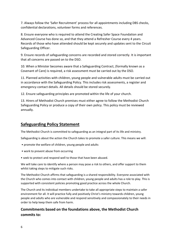7. Always follow the 'Safer Recruitment' process for all appointments including DBS checks, confidential declarations, volunteer forms and references.

8. Ensure everyone who is required to attend the Creating Safer Space Foundation and Advanced Course has done so, and that they attend a Refresher Course every 4 years. Records of those who have attended should be kept securely and updates sent to the Circuit Safeguarding Officer.

9. Ensure records of safeguarding concerns are recorded and stored correctly. It is important that all concerns are passed on to the DSO.

10. When a Minister becomes aware that a Safeguarding Contract, (formally known as a Covenant of Care) is required, a risk assessment must be carried out by the DSO.

11. Planned activities with children, young people and vulnerable adults must be carried out in accordance with the Safeguarding Policy. This includes risk assessments, a register and emergency contact details. All details should be stored securely.

12. Ensure safeguarding principles are promoted within the life of your church.

13. Hirers of Methodist Church premises must either agree to follow the Methodist Church Safeguarding Policy or produce a copy of their own policy. This policy must be reviewed annually.

## **Safeguarding Policy Statement**

The Methodist Church is committed to safeguarding as an integral part of its life and ministry.

Safeguarding is about the action the Church takes to promote a safer culture. This means we will:

- promote the welfare of children, young people and adults
- work to prevent abuse from occurring
- seek to protect and respond well to those that have been abused.

We will take care to identify where a person may pose a risk to others, and offer support to them whilst taking steps to mitigate such risks.

The Methodist Church affirms that safeguarding is a shared responsibility. Everyone associated with the Church who comes into contact with children, young people and adults has a role to play. This is supported with consistent policies promoting good practice across the whole Church.

The Church and its individual members undertake to take all appropriate steps to maintain a safer environment for all. It will practice fully and positively Christ's ministry towards children, young people and adults who are vulnerable and respond sensitively and compassionately to their needs in order to help keep them safe from harm.

## **Commitments based on the foundations above, the Methodist Church commits to:**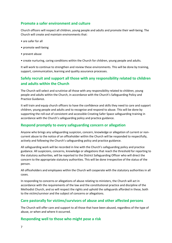## **Promote a safer environment and culture**

Church officers will respect all children, young people and adults and promote their well-being. The Church will create and maintain environments that:

- are safer for all
- promote well-being
- prevent abuse
- create nurturing, caring conditions within the Church for children, young people and adults.

It will work to continue to strengthen and review these environments. This will be done by training, support, communication, learning and quality assurance processes.

## **Safely recruit and support all those with any responsibility related to children and adults within the Church**

The Church will select and scrutinise all those with any responsibility related to children, young people and adults within the Church, in accordance with the Church's Safeguarding Policy and Practice Guidance.

It will train and equip church officers to have the confidence and skills they need to care and support children, young people and adults and to recognise and respond to abuse. This will be done by supporting the roll-out of consistent and accessible Creating Safer Space safeguarding training in accordance with the Church's safeguarding policy and practice guidance.

## **Respond promptly to every safeguarding concern or allegation**

Anyone who brings any safeguarding suspicion, concern, knowledge or allegation of current or noncurrent abuse to the notice of an officeholder within the Church will be responded to respectfully, actively and following the Church's safeguarding policy and practice guidance.

All safeguarding work will be recorded in line with the Church's safeguarding policy and practice guidance. All suspicions, concerns, knowledge or allegations that reach the threshold for reporting to the statutory authorities, will be reported to the District Safeguarding Officer who will direct the concern to the appropriate statutory authorities. This will be done irrespective of the status of the person.

All officeholders and employees within the Church will cooperate with the statutory authorities in all cases.

In responding to concerns or allegations of abuse relating to ministers, the Church will act in accordance with the requirements of the law and the constitutional practice and discipline of the Methodist Church, and so will respect the rights and uphold the safeguards afforded in these, both to the victim/survivor and the subject of concerns or allegations.

## **Care pastorally for victims/survivors of abuse and other affected persons**

The Church will offer care and support to all those that have been abused, regardless of the type of abuse, or when and where it occurred.

## **Responding well to those who might pose a risk**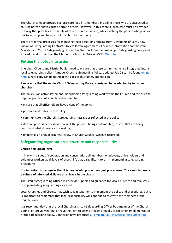The Church aims to provide pastoral care for all its members, including those who are suspected of causing harm or have caused harm to others. However, in this context, such care must be provided in a way that prioritises the safety of other church members, while enabling the person who poses a risk to worship and be a part of the church community.

There are formal processes for managing these situations ranging from 'Covenants of Care', now known as 'Safeguarding Contracts' to less formal agreements. For more information contact your Minister and Circuit Safeguarding Officer. See Section 4.7 in the unabridged Safeguarding Policy and Procedures document on the Methodist Church in Britain (MCIB) [Website](https://www.methodist.org.uk/safeguarding/policies-procedure-and-information/policies-and-guidance/)

## **Putting the policy into action**

Churches, Circuits and District bodies need to ensure that these commitments are integrated into a local safeguarding policy. A model Church Safeguarding Policy, updated Feb 22 can be found [online](https://www.sheffieldcircuit.org.uk/lib/F373331.docx) [here](https://www.sheffieldcircuit.org.uk/lib/F373331.docx) a hard copy can be found at the back of this folder, appendix (I)

#### **Please note that the model Church Safeguarding Policy is designed to be adapted by individual churches.**

The policy is an active statement underpinning safeguarding work within the Church and the drive to improve practice. All church bodies need to:

- ensure that all officeholders have a copy of the policy
- promote and publicise the policy
- communicate the Church's safeguarding message as reflected in the policy

• develop processes to assess how well the policy is being implemented, lessons that are being learnt and what difference it is making

• undertake an annual progress review at Church Council, which is recorded.

## **Safeguarding organisational structure and responsibilities**

#### **Church and Circuit level**

In line with values of cooperation and consultation, all members, employees, office holders and volunteer workers at all levels of church life play a significant role in implementing safeguarding procedures.

#### **It is important to recognise that it is people who protect, not just procedures. The aim is to create a culture of informed vigilance at all levels in the church.**

The Circuit Safeguarding Officer will provide support and guidance for local Churches and Ministers in implementing safeguarding as stated.

Local Churches and Circuits may wish to join together to implement the policy and procedures, but it is important to remember that legal responsibility will continue to rest with the members of the Church Council.

It is recommended that the local Church or Circuit Safeguarding Officer be a member of the Church Council or Circuit Meeting, or have the right to attend at least annually to report on implementation of the safeguarding policy. Connexion have produced [a Template Church Safeguarding Officer job](http://www.sheffieldcircuit.org.uk/doc/D373337.pdf)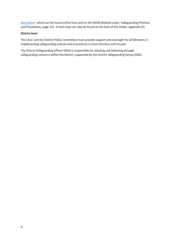[description](http://www.sheffieldcircuit.org.uk/doc/D373337.pdf) which can be found online here and on the MCIB Website under 'Safeguarding'/Policies and Procedures, page 141. A hard copy can also be found at the back of this folder, appendix (II)

#### **District level**

The Chair and the District Policy Committee must provide support and oversight for all Ministers in implementing safeguarding policies and procedures in local churches and Circuits.

The District Safeguarding Officer (DSO) is responsible for advising and following through safeguarding concerns within the district, supported by the District Safeguarding Group (DSG)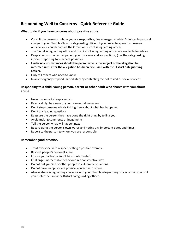## **Responding Well to Concerns - Quick Reference Guide**

#### **What to do if you have concerns about possible abuse.**

- Consult the person to whom you are responsible; line manager, minister/minister in pastoral charge of your Church, Church safeguarding officer. If you prefer to speak to someone outside your church contact the Circuit or District safeguarding officer.
- The Circuit safeguarding office and the District safeguarding officer are available for advice.
- Keep a record of what happened, your concerns and your actions, (use the safeguarding incident reporting form where possible)
- **Under no circumstances should the person who is the subject of the allegation be informed until after the allegation has been discussed with the District Safeguarding Officer.**
- Only tell others who need to know.
- In an emergency respond immediately by contacting the police and or social services.

#### **Responding to a child, young person, parent or other adult who shares with you about abuse.**

- Never promise to keep a secret.
- React calmly; be aware of your non-verbal messages.
- Don't stop someone who is talking freely about what has happened.
- Don't ask leading questions.
- Reassure the person they have done the right thing by telling you.
- Avoid making comments or judgements.
- Tell the person what will happen next.
- Record using the person's own words and noting any important dates and times.
- Report to the person to whom you are responsible.

#### **Remember good practice.**

- Treat everyone with respect, setting a positive example.
- Respect people's personal space.
- Ensure your actions cannot be misinterpreted.
- Challenge unacceptable behaviour in a constructive way.
- Do not put yourself or other people in vulnerable situations.
- Do not have inappropriate physical contact with others.
- Always share safeguarding concerns with your Church safeguarding officer or minister or if you prefer the Circuit or District safeguarding officer.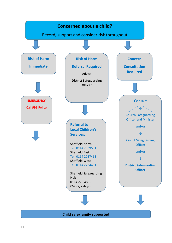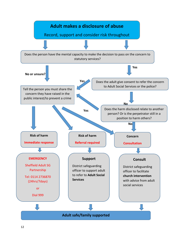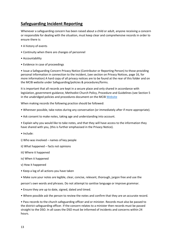## **Safeguarding Incident Reporting**

Whenever a safeguarding concern has been raised about a child or adult, anyone receiving a concern or responsible for dealing with the situation, must keep clear and comprehensive records in order to ensure there is:

- A history of events
- Continuity when there are changes of personnel
- Accountability
- Evidence in case of proceedings

• Issue a Safeguarding Concern Privacy Notice (Contributor or Reporting Person) to those providing personal information in connection to the incident, (see section on Privacy Notices, page 16, for more information) A hard copy of all privacy notices are to be found at the rear of this folder and on the MCIB website under Safeguarding/policies & procedures/forms.

It is important that all records are kept in a secure place and only shared in accordance with legislation, government guidance, Methodist Church Policy, Procedure and Guidelines (see Section 5 in the unabridged policies and procedures document on the MCIB [Website](https://www.methodist.org.uk/safeguarding/policies-procedure-and-information/policies-and-guidance/)

When making records the following practice should be followed:

- Wherever possible, take notes during any conversation (or immediately after if more appropriate).
- Ask consent to make notes, taking age and understanding into account.

• Explain why you would like to take notes, and that they will have access to the information they have shared with you, (this is further emphasised in the Privacy Notice).

- Include:
- i) Who was involved names of key people
- ii) What happened facts not opinions
- iii) Where it happened
- iv) When it happened
- v) How it happened
- Keep a log of all actions you have taken
- Make sure your notes are legible, clear, concise, relevant, thorough, jargon free and use the

person's own words and phrases. Do not attempt to sanitise language or improve grammar.

- Ensure they are up to date, signed, dated and timed.
- Where possible ask the person to review the notes and confirm that they are an accurate record.

• Pass records to the church safeguarding officer and or minister. Records must also be passed to the district safeguarding officer. If the concern relates to a minister then records must be passed straight to the DSO. In all cases the DSO must be informed of incidents and concerns within 24 hours.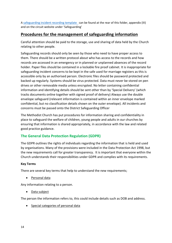A [safeguarding incident recording template](https://www.sheffieldcircuit.org.uk/lib/F373177.docx) can be found at the rear of this folder, appendix (III) and on the circuit website under 'Safeguarding'

## **Procedures for the management of safeguarding information**

Careful attention should be paid to the storage, use and sharing of data held by the Church relating to other people.

Safeguarding records should only be seen by those who need to have proper access to them. There should be a written protocol about who has access to the records and how records are accessed in an emergency or in planned or unplanned absences of the record holder. Paper files should be contained in a lockable fire proof cabinet. It is inappropriate for safeguarding incident concerns to be kept in the safe used for marriage registers as this is accessible only by an authorised person. Electronic files should be password protected and backed up regularly. Systems should be virus protected. Data must never be stored on pen drives or other removable media unless encrypted. No letter containing confidential information and identifying details should be sent other than by 'Special Delivery' (which tracks documents online together with signed proof of delivery) Always use the double envelope safeguard (relevant information is contained within an inner envelope marked confidential, but no classification details shown on the outer envelope). All incidents and concerns must be passed onto the District Safeguarding Officer

The Methodist Church has put procedures for information sharing and confidentiality in place to safeguard the welfare of children, young people and adults in our churches by ensuring that information is shared appropriately, in accordance with the law and related good practice guidance.

## **The General Data Protection Regulation (GDPR)**

The GDPR outlines the rights of individuals regarding the information that is held and used by organisations. Many of the provisions were included in the Data Protection Act 1998, but the new requirements call for greater transparency. It is important that everyone within the Church understands their responsibilities under GDPR and complies with its requirements.

#### **Key Terms**

There are several key terms that help to understand the new requirements;

• Personal data

Any information relating to a person.

• Data subject

The person the information refers to, this could include details such as DOB and address.

• Special categories of personal data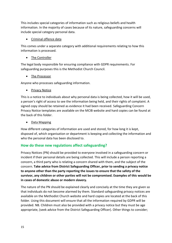This includes special categories of information such as religious beliefs and health information. In the majority of cases because of its nature, safeguarding concerns will include special category personal data.

## • Criminal offence data

This comes under a separate category with additional requirements relating to how this information is processed.

## • The Controller

The legal body responsible for ensuring compliance with GDPR requirements. For safeguarding purposes this is the Methodist Church Council.

## • The Processor

Anyone who processes safeguarding information.

• Privacy Notice

This is a notice to individuals about why personal data is being collected, how it will be used, a person's right of access to see the information being held, and their rights of complaint. A signed copy should be retained as evidence it had been received. Safeguarding Concern Privacy Notice templates are available on the MCIB website and hard copies can be found at the back of this folder.

• Data Mapping

How different categories of information are used and stored, for how long it is kept, disposed of, which organisation or department is keeping and collecting the information and who the personal data has been disclosed to.

## **How do these new regulations affect safeguarding?**

Privacy Notices (PN) should be provided to everyone involved in a safeguarding concern or incident if their personal details are being collected. This will include a person reporting a concern, a third party who is relating a concern shared with them, and the subject of the concern. **Take advice from District Safeguarding Officer, prior to sending a privacy notice to anyone other than the party reporting the issues to ensure that the safety of the survivor, any children or other parties will not be compromised. Examples of this would be in cases of domestic abuse or modern slavery.**

The nature of the PN should be explained clearly and concisely at the time they are given so that individuals do not become alarmed by them. Standard safeguarding privacy notices are available on the Methodist Church website and hard copies are located at the back of this folder. Using this document will ensure that all the information required by GDPR will be provided. NB. Children must also be provided with a privacy notice but they must be age appropriate, (seek advice from the District Safeguarding Officer). Other things to consider;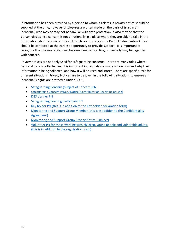If information has been provided by a person to whom it relates, a privacy notice should be supplied at the time, however disclosures are often made on the basis of trust in an individual, who may or may not be familiar with data protection. It also may be that the person disclosing a concern is not emotionally in a place where they are able to take in the information about a privacy notice. In such circumstances the District Safeguarding Officer should be contacted at the earliest opportunity to provide support. It is important to recognise that the use of PN's will become familiar practice, but initially may be regarded with concern.

Privacy notices are not only used for safeguarding concerns. There are many roles where personal data is collected and it is important individuals are made aware how and why their information is being collected, and how it will be used and stored. There are specific PN's for different situations. Privacy Notices are to be given in the following situations to ensure an individual's rights are protected under GDPR;

- [Safeguarding Concern \(Subject of Concern\) PN](http://www.sheffieldcircuit.org.uk/doc/D373354.pdf)
- [Safeguarding Concern Privacy Notice \(Contributor or Reporting person\)](http://www.sheffieldcircuit.org.uk/doc/D373358.pdf)
- [DBS Verifier PN](http://www.sheffieldcircuit.org.uk/doc/D373370.pdf)
- [Safeguarding Training Participant PN](http://www.sheffieldcircuit.org.uk/doc/D373371.pdf)
- [Key holder PN \(this is in addition to the key holder declaration form\)](http://www.sheffieldcircuit.org.uk/doc/D373372.pdf)
- [Monitoring and Support Group Member \(this is in addition to the Confidentiality](http://www.sheffieldcircuit.org.uk/doc/D373374.pdf)  [Agreement\)](http://www.sheffieldcircuit.org.uk/doc/D373374.pdf)
- [Monitoring and Support Group Privacy Notice \(Subject\)](http://www.sheffieldcircuit.org.uk/doc/D373517.pdf)
- [Volunteer PN for those working with children, young people and vulnerable adults.](http://www.sheffieldcircuit.org.uk/doc/D373520.pdf)  [\(this is in addition to the registration form\)](http://www.sheffieldcircuit.org.uk/doc/D373520.pdf)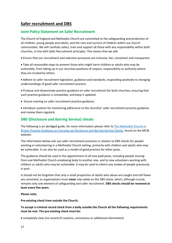## **Safer recruitment and DBS**

## **Joint Policy Statement on Safer Recruitment**

The Church of England and Methodist Church are committed to the safeguarding and protection of all children, young people and adults, and the care and nurture of children within our church communities. We will carefully select, train and support all those with any responsibility within both churches, in line with Safer Recruitment principles. This means that we will;

• Ensure that our recruitment and selection processes are inclusive, fair, consistent and transparent.

• Take all reasonable steps to prevent those who might harm children or adults who may be vulnerable, from taking up in our churches positions of respect, responsibility or authority where they are trusted by others.

• Adhere to safer recruitment legislation, guidance and standards, responding positively to changing understandings of good safer recruitment practice.

• Produce and disseminate practice guidance on safer recruitment for both churches, ensuring that such practice guidance is compatible, and keep it updated.

• Ensure training on safer recruitment practice guidance.

• Introduce systems for monitoring adherence to the churches' safer recruitment practice guidance and review them regularly

## **DBS (Disclosure and Barring Service) checks**

The following is an abridged guide, for more information please refer to [The Methodist Church in](http://www.sheffieldcircuit.org.uk/doc/D515619.pdf)  [Britain Practice Guidance on Carrying out Disclosure and Barring Service Checks f](http://www.sheffieldcircuit.org.uk/doc/D515619.pdf)ound on the MCIB website.

The information below sets out safer recruitment practices in relation to DBS checks for people working or volunteering in a Methodist Church setting, primarily with children and adults who may be vulnerable. It can also be used as a model of good practice for other posts.

The guidance should be used in the appointment to all new paid posts, including people moving from one Methodist Church employing body to another one, and to new volunteers working with children or adults who may be vulnerable. It may be used to inform any review of people previously in post.

It should not be forgotten that only a small proportion of adults who abuse are caught and still fewer are convicted, so organisations must **never** rely solely on the DBS check, which, although crucial, remains only one element of safeguarding and safer recruitment. **DBS checks should be renewed at least every five years.**

#### **Please note;**

#### **Pre-existing check from outside the Church;**

**To accept a criminal record check from a body outside the Church all the following requirements must be met. The pre-existing check must be:**

• completely clear (no record of cautions, convictions or additional information)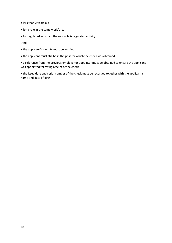- less than 2 years old
- for a role in the same workforce
- for regulated activity if the new role is regulated activity.

And,

- the applicant's identity must be verified
- the applicant must still be in the post for which the check was obtained

• a reference from the previous employer or appointer must be obtained to ensure the applicant was appointed following receipt of the check

• the issue date and serial number of the check must be recorded together with the applicant's name and date of birth.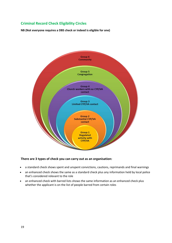## **Criminal Record Check Eligibility Circles**

**NB (Not everyone requires a DBS check or indeed is eligible for one)**



#### **There are 3 types of check you can carry out as an organisation:**

- a standard check shows spent and unspent convictions, cautions, reprimands and final warnings
- an enhanced check shows the same as a standard check plus any information held by local police that's considered relevant to the role
- an enhanced check with barred lists shows the same information as an enhanced check plus whether the applicant is on the list of people barred from certain roles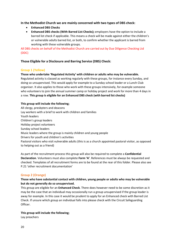#### **In the Methodist Church we are mainly concerned with two types of DBS check:**

- **Enhanced DBS Checks**
- **Enhanced DBS checks (With Barred List Checks);** employers have the option to include a barred list check if applicable. This means a check will be made against either the children's or vulnerable adults barred list, or both, to confirm whether the applicant is barred from working with these vulnerable groups.

All DBS checks on behalf of the Methodist Church are carried out by Due Diligence Checking Ltd (DDC)

#### **Those Eligible for a Disclosure and Barring Service (DBS) Check:**

#### **Group 1 (Yellow)**

#### **Those who undertake 'Regulated Activity' with children or adults who may be vulnerable.**

Regulated activity is classed as working regularly with these groups, for instance every Sunday, and doing so unsupervised. This would apply for example to a Sunday school leader or a Lunch Club organiser. It also applies to those who work with these groups intensively, for example someone who volunteers to join the annual summer camp or holiday project and work for more than 4 days in a row. **This group is eligible for an Enhanced DBS check (with barred list checks)**

#### **This group will include the following;**

All clergy, presbyters and deacons Lay workers with a brief to work with children and families Youth leaders Children's group leaders Holiday project volunteers Sunday school leaders Music leaders where the group is mainly children and young people Drivers for youth and children's activities Pastoral visitors who visit vulnerable adults (this is as a church appointed pastoral visitor, as opposed to helping out as a friend)

As part of the recruitment process this group will also be required to complete a **Confidential Declaration**. Volunteers must also complete **Form 'A'**. References must be always be requested and checked. Templates of all recruitment forms are to be found at the rear of this folder. Please also see P.21 'other recruitment documentation'

#### **Group 2 (Orange)**

#### **Those who have substantial contact with children, young people or adults who may be vulnerable but do not generally do so unsupervised.**

This group are eligible for an **Enhanced Check**. There does however need to be some discretion as it may be the case that an individual may occasionally run a group unsupervised if the group leader is away for example. In this case it would be prudent to apply for an Enhanced check with Barred List Check. If unsure which group an individual falls into please check with the Circuit Safeguarding Officer.

#### **This group will include the following;**

Lay preachers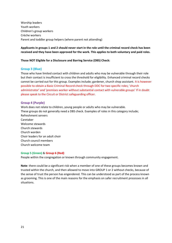Worship leaders Youth workers Children's group workers Crèche workers Parent and toddler group helpers (where parent not attending)

**Applicants in groups 1 and 2 should never start in the role until the criminal record check has been received and they have been approved for the work. This applies to both voluntary and paid roles.**

#### **Those NOT Eligible for a Disclosure and Barring Service (DBS) Check:**

#### **Group 3 (Blue)**

Those who have limited contact with children and adults who may be vulnerable through their role but their contact is insufficient to cross the threshold for eligibility. Enhanced criminal record checks cannot be carried out for this group. Examples include; gardener, church shop assistant. It is however possible to obtain a Basic Criminal Record check through DDC for two specific roles; 'church administrator' and 'premises worker without substantial contact with vulnerable groups' If in doubt please speak to the Circuit or District safeguarding officer.

#### **Group 4 (Purple)**

Work does not relate to children, young people or adults who may be vulnerable. These groups do not generally need a DBS check. Examples of roles in this category include; Refreshment servers Caretaker Welcome stewards Church stewards Church warden Choir leaders for an adult choir Church council members Church welcome team

#### **Group 5 (Green)** & **Group 6 (Red)**

People within the congregation or known through community engagement.

**Note**: there could be a significant risk when a member of one of these groups becomes known and trusted within the church, and then allowed to move into GROUP 1 or 2 without checks, because of the sense of trust the person has engendered. This can be understood as part of the process known as grooming. This is one of the main reasons for the emphasis on safer recruitment processes in all situations.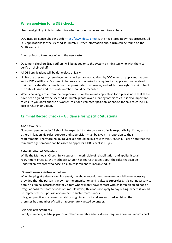## **When applying for a DBS check;**

Use the eligibility circle to determine whether or not a person requires a check.

DDC (Due Diligence Checking Ltd) <https://www.ddc.uk.net/> is the Registered Body that processes all DBS applications for the Methodist Church. Further information about DDC can be found on the MCIB Website.

A few points to take note of with the new system:

- Document checkers (Lay verifiers) will be added onto the system by ministers who wish them to verify on their behalf
- All DBS applications will be done electronically
- Unlike the previous system document checkers are not advised by DDC when an applicant has been sent a DBS certificate. Document checkers are now asked to enquire if an applicant has received their certificate after a time lapse of approximately two weeks, and ask to have sight of it. A note of the date of issue and certificate number should be recorded
- When choosing a role from the drop-down list on the online application form please note that these have been agreed by the Methodist Church, please avoid creating 'other' roles. It is also important to ensure you don't choose a 'worker' role for a volunteer position, as checks for paid roles incur a cost to Church or Circuit.

#### **Criminal Record Checks – Guidance for Specific Situations**

#### **16-18 Year Olds**

No young person under 18 should be expected to take on a role of sole responsibility. If they assist others in leadership roles, support and supervision must be given in proportion to their requirements. Therefore no 16-18 year-old should be in a role within GROUP 1. Please note that the minimum age someone can be asked to apply for a DBS check is 16 yrs.

#### **Rehabilitation of Offenders**

While the Methodist Church fully supports the principle of rehabilitation and applies it to all recruitment practice, the Methodist Church has set restrictions about the roles that can be undertaken by those who pose a risk to children and vulnerable adults

#### **'One-off' events visitors or helpers**

When helping at a day or evening event, the above recruitment measures would be unnecessary provided that the person is known to the organisation and is always **supervised**. It is not necessary to obtain a criminal record check for visitors who will only have contact with children on an ad hoc or irregular basis for short periods of time. However, this does not apply to day outings where it would be impractical to supervise a volunteer in such circumstances.

It is good practice to ensure that visitors sign in and out and are escorted whilst on the premises by a member of staff or appropriately vetted volunteer.

#### **Self-help arrangements**

Family members, self-help groups or other vulnerable adults, do not require a criminal record check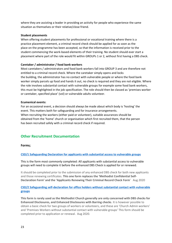where they are assisting a leader in providing an activity for people who experience the same situation as themselves or their relative/close friend.

#### **Student placements**

When offering student placements for professional or vocational training where there is a practice placement element, a criminal record check should be applied for as soon as the place on the programme has been accepted, so that the information is received prior to the student commencing the work-based elements of their training. No student should ever start a placement where part of the role would fit within GROUPs 1 or 2, without first having a DBS check.

#### **Caretaker / administrator / food bank workers**

Most caretakers / administrators and food bank workers fall into GROUP 3 and are therefore not entitled to a criminal record check. Where the caretaker simply opens and locks the building, the administrator has no contact with vulnerable people or where the food bank worker simply parcels up food and hands it out, no check is required and they are not eligible. Where the role involves substantial contact with vulnerable groups for example some food bank workers, this must be highlighted in the job specification. The role should then be classed as 'premises worker or caretaker, specified place' (vol) or vulnerable adults volunteer.

#### **Ecumenical events:**

For an occasional event, a decision should always be made about which body is 'hosting' the event. This matters both for safeguarding and for insurance arrangements. When recruiting the workers (either paid or volunteer), suitable assurances should be obtained from the 'home' church or organisation which first recruited them, that the person has been recruited safely with a criminal record check if required.

#### **Other Recruitment Documentation**

#### **Forms;**

#### **[CSD/1 Safeguarding Declaration for applicants with substantial access to vulnerable groups](http://www.sheffieldcircuit.org.uk/doc/D532839.docx)**

This is the form most commonly completed: All applicants with substantial access to vulnerable groups will need to complete it before the enhanced DBS Check is applied for or renewed.

It should be completed prior to the submission of any enhanced DBS check for both new applicants and those renewing certificates. **This one form replaces the 'Methodist Confidential Self-Declaration Form' and the 'Applicants Renewing Their Criminal Record Check Form**' Aug 2020

#### **[CSD/2 Safeguarding self-declaration for office holders without substantial contact with vulnerable](http://www.sheffieldcircuit.org.uk/doc/D534119.pdf)  [groups](http://www.sheffieldcircuit.org.uk/doc/D534119.pdf)**

**This form is rarely used as the Methodist Church generally are only concerned with DBS checks for Enhanced Disclosures, and Enhanced Disclosures with Barring checks**. It is however possible to obtain a basic check for two groups of workers or volunteers, and these are 'Church Admin workers' and 'Premises Workers without substantial contact with vulnerable groups' This form should be completed prior to application or renewal. Aug 2020.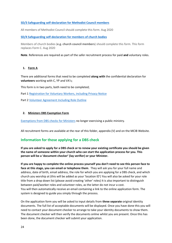#### **[SD/3 Safeguarding self-declaration for Methodist Council members](http://www.sheffieldcircuit.org.uk/doc/D534124.pdf)**

All members of Methodist Council should complete this form. Aug 2020

**[SD/4 Safeguarding self-declaration for members of church bodies](http://www.sheffieldcircuit.org.uk/doc/D534152.pdf)**

Members of church bodies (**e.g. church council members**) should complete this form. This form replaces Form C. Aug 2020

**Note**. References are required as part of the safer recruitment process for paid **and** voluntary roles.

#### **1. Form A**

There are additional forms that need to be completed **along with** the confidential declaration for **volunteers** working with C, YP and VA's;

This form is in two parts, both need to be completed;

Part 1 [Registration for Voluntary Workers, including Privacy Notice](https://www.methodist.org.uk/safeguarding/recruitment-dbspvg-forms-etc/forms/volunteer-with-vulnerable-groups-form-a/)

Part 2 [Volunteer Agreement Including Role Outline](http://www.sheffieldcircuit.org.uk/doc/D373541.pdf)

#### **2. Ministers DBS Exemption Form**

[Exemptions](https://www.methodist.org.uk/safeguarding/recruitment-dbspvg-forms-etc/forms/dbs-exemption-forms-for-ministers-and-local-preachers/) from DBS checks for Ministers no longer exercising a public ministry.

All recruitment forms are available at the rear of this folder, appendix (V) and on the MCIB Website.

## **Information for those applying for a DBS check**

**If you are asked to apply for a DBS check or to renew your existing certificate you should be given the name of someone within your church who can start the application process for you. This person will be a 'document checker' (lay verifier) or your Minister.**

**If you are happy to complete the online process yourself you don't need to see this person face to face at this stage, you can email or telephone them**. They will ask you for your full name and address, date of birth, email address, the role for which you are applying for a DBS check, and which church you worship at (this will be added as your 'location ID') You will also be asked for your role title from a drop down list (please avoid creating 'other' roles) It is also important to distinguish between paid/worker roles and volunteer roles, as the latter do not incur a cost. You will then automatically receive an email containing a link to the online application form. The system is designed to guide you simply through the process.

On the application form you will be asked to input details from **three separate** original identity documents. The full list of acceptable documents will be displayed. Once you have done this you will need to contact your document checker to arrange to take your identity documents to show them. The document checker will then verify the documents online whilst you are present. Once this has been done, the document checker will submit your application.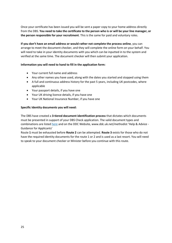Once your certificate has been issued you will be sent a paper copy to your home address directly from the DBS. **You need to take the certificate to the person who is or will be your line manager, or the person responsible for your recruitment**. This is the same for paid and voluntary roles.

**If you don't have an email address or would rather not complete the process online**, you can arrange to meet the document checker, and they will complete the online form on your behalf. You will need to take in your identity documents with you which can be inputted in to the system and verified at the same time. The document checker will then submit your application.

#### **Information you will need to hand to fill in the application form:**

- Your current full name and address
- Any other names you have used, along with the dates you started and stopped using them
- A full and continuous address history for the past 5 years, including UK postcodes, where applicable
- Your passport details, if you have one
- Your UK driving licence details, if you have one
- Your UK National Insurance Number, if you have one

#### **Specific Identity documents you will need:**

The DBS have created a **3-tiered document identification process** that dictates which documents must be presented in support of your DBS Check application. The valid document types and combinations are listed [here](http://www.sheffieldcircuit.org.uk/doc/D373548.pdf) and on the DDC Website, www.ddc.uk.net/methodist 'Help & Advice - Guidance for Applicants'

Route **1** must be exhausted before **Route 2** can be attempted. **Route 3** exists for those who do not have the required identity documents for the route 1 or 2 and is used as a last resort. You will need to speak to your document checker or Minister before you continue with this route.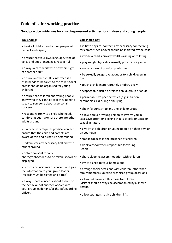## **Code of safer working practice**

## **Good practice guidelines for church-sponsored activities for children and young people**

| You should:                                                                                                                               | You should not:                                                                                                                  |
|-------------------------------------------------------------------------------------------------------------------------------------------|----------------------------------------------------------------------------------------------------------------------------------|
| • treat all children and young people with<br>respect and dignity                                                                         | • initiate physical contact; any necessary contact (e.g.<br>for comfort, see above) should be initiated by the child             |
| • ensure that your own language, tone of<br>voice and body language is respectful                                                         | • invade a child's privacy whilst washing or toileting                                                                           |
|                                                                                                                                           | • play rough physical or sexually provocative games                                                                              |
| • always aim to work with or within sight<br>of another adult                                                                             | • use any form of physical punishment                                                                                            |
| • ensure another adult is informed if a<br>child needs to be taken to the toilet (toilet<br>breaks should be organised for young          | • be sexually suggestive about or to a child, even in<br>fun                                                                     |
|                                                                                                                                           | • touch a child inappropriately or obtrusively                                                                                   |
| children)                                                                                                                                 | • scapegoat, ridicule or reject a child, group or adult                                                                          |
| • ensure that children and young people<br>know who they can talk to if they need to<br>speak to someone about a personal<br>concern      | • permit abusive peer activities (e.g. initiation<br>ceremonies, ridiculing or bullying)                                         |
|                                                                                                                                           | • show favouritism to any one child or group                                                                                     |
| • respond warmly to a child who needs<br>comforting but make sure there are other<br>adults around                                        | • allow a child or young person to involve you in<br>excessive attention seeking that is overtly physical or<br>sexual in nature |
| • if any activity requires physical contact,<br>ensure that the child and parents are                                                     | • give lifts to children or young people on their own or<br>on your own                                                          |
| aware of this and its nature beforehand                                                                                                   | • smoke tobacco in the presence of children                                                                                      |
| • administer any necessary first aid with<br>others around                                                                                | · drink alcohol when responsible for young<br>People                                                                             |
| • obtain consent for any<br>photographs/videos to be taken, shown or<br>displayed                                                         | • share sleeping accommodation with children                                                                                     |
|                                                                                                                                           | • invite a child to your home alone                                                                                              |
| • record any incidents of concern and give<br>the information to your group leader<br>(records must be signed and dated)                  | • arrange social occasions with children (other than<br>family members) outside organised group occasions                        |
| • always share concerns about a child or<br>the behaviour of another worker with<br>your group leader and/or the safeguarding<br>officer. | · allow unknown adults access to children<br>(visitors should always be accompanied by a known<br>person)                        |
|                                                                                                                                           | • allow strangers to give children lifts.                                                                                        |
|                                                                                                                                           |                                                                                                                                  |
|                                                                                                                                           |                                                                                                                                  |
|                                                                                                                                           |                                                                                                                                  |
|                                                                                                                                           |                                                                                                                                  |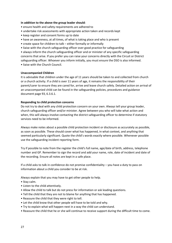#### **In addition to the above the group leader should**:

- ensure health and safety requirements are adhered to
- undertake risk assessments with appropriate action taken and records kept
- keep register and consent forms up to date
- have an awareness, at all times, of what is taking place and who is present
- create space for children to talk either formally or informally
- liaise with the church safeguarding officer over good practice for safeguarding

• always inform the church safeguarding officer and or minister of any specific safeguarding concerns that arise. If you prefer you can raise your concerns directly with the Circuit or District safeguarding officer. Whoever you inform initially, you must ensure the DSO is also informed.

• liaise with the Church Council.

#### **Unaccompanied Children**

It is advisable that children under the age of 11 years should be taken to and collected from church or a church activity. If a child is over 11 years of age, it remains the responsibility of their parent/carer to ensure they are cared for, arrive and leave church safely. Detailed action on arrival of an unaccompanied child can be found in the safeguarding policies, procedures and guidance document page 93, 6.3.6.1.

#### **Responding to child protection concerns**

Do not try to deal with any child protection concern on your own. Always tell your group leader, church safeguarding officer and/or minister. Agree between you who will take what action and when, this will always involve contacting the district safeguarding officer to determine if statutory services need to be informed.

Always make notes about a possible child protection incident or disclosure as accurately as possible, as soon as possible. These should cover what has happened, in what context, and anything that seemed particularly significant. Quote the child's words exactly where possible. Whenever possible use the safeguarding incident reporting form.

Try if possible to note from the register the child's full name, age/date of birth, address, telephone number and GP. Remember to sign the record and add your name, role, date of incident and date of the recording. Ensure all notes are kept in a safe place.

If a child asks to talk in confidence do not promise confidentiality – you have a duty to pass on information about a child you consider to be at risk.

Always explain that you may have to get other people to help.

- Stay calm.
- Listen to the child attentively.
- Allow the child to talk but do not press for information or ask leading questions.
- Tell the child that they are not to blame for anything that has happened.
- Reassure the child that they were right to tell.
- Let the child know that other people will have to be told and why.
- Try to explain what will happen next in a way the child can understand.
- Reassure the child that he or she will continue to receive support during the difficult time to come.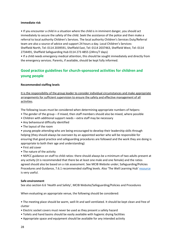#### **Immediate risk**

• If you encounter a child in a situation where the child is in imminent danger, you should act immediately to secure the safety of the child. Seek the assistance of the police and then make a referral to local authority Children's Services. The local authority Children's Services Duty/Referral team are also a source of advice and support 24 hours a day. Local Children's Services: Sheffield North, Tel: 0114 2039591, Sheffield East, Tel: 0114 2037463, Sheffield West, Tel: 0114 2734491, Sheffield Safeguarding Hub 0114 273 4855 (24hrs/7 days)

• If a child needs emergency medical attention, this should be sought immediately and directly from the emergency services. Parents, if available, should be kept fully informed.

## **Good practice guidelines for church-sponsored activities for children and young people**

#### **Recommended staffing levels**

It is the responsibility of the group leader to consider individual circumstances and make appropriate arrangements for sufficient supervision to ensure the safety and effective management of all activities.

The following issues must be considered when determining appropriate numbers of helpers:

- The gender of the group if mixed, then staff members should also be mixed, where possible
- Children with additional support needs extra staff may be necessary
- Any behavioural difficulty identified
- The layout of the room

• young people attending who are being encouraged to develop their leadership skills through helping (they should always be overseen by an appointed worker who will be responsible for ensuring that good practice and safeguarding procedures are followed and the work they are doing is appropriate to both their age and understanding)

- First aid cover
- The nature of the activity

• NSPCC guidance on staff to child ratios: there should always be a minimum of two adults present at any activity (it is recommended that there be at least one male and one female) and the ratios agreed should also be based on a risk assessment. See MCIB Website under; Safeguarding/Policies Procedures and Guidance, 7.6.1 recommended staffing levels. Also 'The Well Learning Hub' [resource](https://www.methodist.org.uk/our-work/children-youth-family-ministry/the-well-learning-hub-equipping-and-supporting-workers/) is very useful.

#### **Safe environment**

See also section 6.6 'Health and Safety', MCIB Website/Safeguarding/Policies and Procedures

When evaluating an appropriate venue, the following should be considered:

• The meeting place should be warm, well-lit and well ventilated. It should be kept clean and free of clutter

- Electric socket covers must never be used as they present a safety hazard
- Toilets and hand basins should be easily available with hygienic drying facilities
- Appropriate space and equipment should be available for any intended activity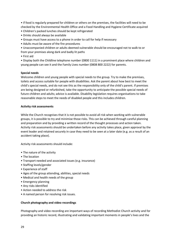• if food is regularly prepared for children or others on the premises, the facilities will need to be checked by the Environmental Health Office and a Food Handling and Hygiene Certificate acquired

- Children's packed lunches should be kept refrigerated
- Drinks should always be available
- Groups must have access to a phone in order to call for help if necessary
- Adults must be aware of the fire procedures
- Unaccompanied children or adults deemed vulnerable should be encouraged not to walk to or from your premises along dark and badly lit paths
- First aid

• Display both the Childline telephone number (0800 1111) in a prominent place where children and young people can see it and the Family Lives number (0808 800 2222) for parents.

#### **Special needs**

Welcome children and young people with special needs to the group. Try to make the premises, toilets and access suitable for people with disabilities. Ask the parent about how best to meet the child's special needs, and do not see this as the responsibility only of the child's parent. If premises are being designed or refurbished, take the opportunity to anticipate the possible special needs of future children and adults; advice is available. Disability legislation requires organisations to take reasonable steps to meet the needs of disabled people and this includes children.

#### **Activity risk assessments**

While the Church recognises that it is not possible to avoid all risk when working with vulnerable groups, it is possible to try and minimise those risks. This can be achieved through careful planning and preparation and by providing a written record of the thought processes and action taken. Activity risk assessments should be undertaken before any activity takes place, given approval by the event leader and retained securely in case they need to be seen at a later date (e.g. as a result of an accident taking place).

Activity risk assessments should include:

- The nature of the activity
- The location
- Transport needed and associated issues (e.g. insurance)
- Staffing levels/gender
- Experience of staff
- Ages of the group attending, abilities, special needs
- Medical and health needs of the group
- Emergency planning
- Any risks identified
- Action needed to address the risk
- A named person for resolving risk issues.

#### **Church photography and video recordings**

Photography and video recording are important ways of recording Methodist Church activity and for providing an historic record, illustrating and validating important moments in people's lives and the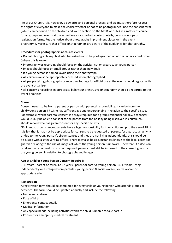life of our Church. It is, however, a powerful and personal process, and we must therefore respect the rights of everyone to make the choice whether or not to be photographed. Use the consent form (which can be found on the children and youth section on the MCIB website) as a matter of course for all groups and events at the same time as you collect contact details, permission slips or registration forms. Put the notice about photographs in prominent places or in the event programme. Make sure that official photographers are aware of the guidelines for photography.

#### **Procedures for photographers at church events**

• Do not photograph any child who has asked not to be photographed or who is under a court order (where this is known)

- Photography or recording should focus on the activity, not on a particular young person
- Images should focus on small groups rather than individuals
- If a young person is named, avoid using their photograph
- All children must be appropriately dressed when photographed
- All people taking photographs or recording footage for official use at the event should register with the event organiser

• All concerns regarding inappropriate behaviour or intrusive photography should be reported to the event organiser

#### **Consent**

Consent needs to be from a parent or person with parental responsibility. It can be from the child/young person if he/she has sufficient age and understanding in relation to the specific issue. For example, whilst parental consent is always required for a group residential holiday, a teenager would usually be able to consent to the photos from the holiday being displayed in church. You should record who has given consent for any specific activity.

NB. In most circumstances, parents have a legal responsibility for their children up to the age of 18. If it is felt that it may not be appropriate for consent to be requested of parents for a particular activity or due to the young person's circumstances and they are not living independently, this should be discussed with a safeguarding officer. There may also be circumstances known to the legal parent or guardian relating to the use of images of which the young person is unaware. Therefore, if a decision is taken that a consent form is not required, parents must still be informed of the consent given by the young person in relation to photographs and images.

#### **Age of Child or Young Person Consent Required;**

0-11 years - parent or carer, 12-17 years - parent or carer & young person, 16-17 years, living independently or estranged from parents - young person & social worker, youth worker or appropriate adult.

#### **Registration**

A registration form should be completed for every child or young person who attends groups or activities. The form should be updated annually and include the following:

- Name and address
- Date of birth
- Emergency contact details
- Medical information
- Any special needs including activities which the child is unable to take part in
- Consent for emergency medical treatment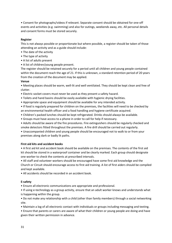• Consent for photographs/videos if relevant. Separate consent should be obtained for one-off events and activities (e.g. swimming) and also for outings, weekends away, etc. All personal details and consent forms must be stored securely.

#### **Register**

This is not always possible or proportionate but where possible, a register should be taken of those attending an activity and as a guide should include:

- The date of the activity
- The type of activity
- A list of adults present
- A list of children/young people present.

The register should be retained securely for a period until all children and young people contained within the document reach the age of 21. If this is unknown, a standard retention period of 20 years from the creation of the document may be applied.

#### **Venue**

• Meeting places should be warm, well-lit and well ventilated. They should be kept clean and free of clutter.

- Electric socket covers must never be used as they present a safety hazard.
- Toilets and hand basins should be easily available with hygienic drying facilities.
- Appropriate space and equipment should be available for any intended activity.
- If food is regularly prepared for children on the premises, the facilities will need to be checked by an environmental health officer and a food handling and hygiene certificate acquired.
- Children's packed lunches should be kept refrigerated. Drinks should always be available.
- Groups must have access to a phone in order to call for help if necessary.
- Adults should be aware of the fire procedures. Fire extinguishers should be regularly checked and smoke detectors fitted throughout the premises. A fire drill should be carried out regularly.
- Unaccompanied children and young people should be encouraged not to walk to or from your premises along dark or badly lit paths.

#### **First aid kits and accident books**

• A first aid kit and accident book should be available on the premises. The contents of the first aid kit should be stored in a waterproof container and be clearly marked. Each group should designate one worker to check the contents at prescribed intervals.

• All staff and volunteer workers should be encouraged have some first aid knowledge and the Church or Circuit should encourage access to first aid training. A list of first aiders should be compiled and kept available.

• All accidents should be recorded in an accident book.

#### **E-safety**

• Ensure all electronic communications are appropriate and professional.

• If using e-technology as a group activity, ensure that an adult worker knows and understands what is happening within the group.

• Do not make any relationship with a child (other than family members) through a social networking site.

• Maintain a log of all electronic contact with individuals or groups including messaging and texting.

• Ensure that parents or carers are aware of what their children or young people are doing and have given their written permission in advance.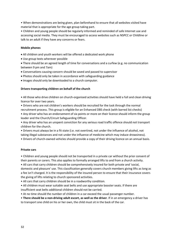• When demonstrations are being given, plan beforehand to ensure that all websites visited have material that is appropriate for the age group taking part.

• Children and young people should be regularly informed and reminded of safe Internet use and accessing social media. They must be encouraged to access websites such as NSPCC or Childline or talk to an adult if they have any concerns or fears.

#### **Mobile phones**

- All children and youth workers will be offered a dedicated work phone
- Use group texts wherever possible

• There should be an agreed length of time for conversations and a curfew (e.g. no communication between 9 pm and 7am)

- Conversations causing concern should be saved and passed to supervisor
- Photos should only be taken in accordance with safeguarding guidance
- Images should only be downloaded to a church computer.

#### **Drivers transporting children on behalf of the church**

• All those who drive children on church-organised activities should have held a full and clean driving licence for over two years.

• Drivers who are not children's workers should be recruited for the task through the normal recruitment process. This group is eligible for an Enhanced DBS check (with barred list checks)

• Any driver who has an endorsement of six points or more on their licence should inform the group leader and the Church/Circuit Safeguarding Officer.

• Any driver who has an unspent conviction for any serious road traffic offence should not transport children for the church.

• Drivers must always be in a fit state (i.e. not overtired, not under the influence of alcohol, not taking illegal substances and not under the influence of medicine which may induce drowsiness).

• Drivers of church-owned vehicles should provide a copy of their driving licence on an annual basis.

#### **Private cars**

• Children and young people should not be transported in a private car without the prior consent of their parents or carers. This also applies to formally arranged lifts to and from a church activity.

• All cars that carry children should be comprehensively insured for both private and 'social,

domestic and pleasure' use. This classification generally covers church members giving lifts as long as a fee isn't charged. It is the responsibility of the insured person to ensure that their insurance covers the giving of lifts relating to church sponsored activities.

• All cars that carry children should be in a roadworthy condition.

• All children must wear suitable seat belts and use appropriate booster seats. If there are insufficient seat belts additional children should not be carried.

• At no time should the number of children in a car exceed the usual passenger number.

• **There should be a non-driving adult escort, as well as the driver**. If in an emergency a driver has to transport one child on his or her own, the child must sit in the back of the car.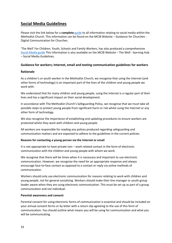## **[Social Media Guidelines](http://www.methodist.org.uk/socialmediaguidelines/)**

Please visit the link below for a **complete** [guide](https://www.methodist.org.uk/our-work/children-youth-family-ministry/the-well-learning-hub-equipping-and-supporting-workers/resources-from-the-well-to-download/policy-and-practical-help/social-media-guidelines/) to all information relating to social media within the Methodist Church. This information can be found on the MCIB Website – Guidance for Churches - Digital Communication for Churches.

'The Well' For Children, Youth, Schools and Family Workers, has also produced a comprehensive [Social Media guide](https://www.methodist.org.uk/our-work/children-youth-family-ministry/the-well-learning-hub-equipping-and-supporting-workers/) This information is also available on the MCIB Website – The Well - learning Hub – Social Media Guidelines.

#### **Guidance for workers; Internet, email and texting communication guidelines for workers**

#### **Rationale**

As a children's or youth worker in the Methodist Church, we recognise that using the Internet (and other forms of technology) is an important part of the lives of the children and young people we work with.

We understand that for many children and young people, using the Internet is a regular part of their lives and has a significant impact on their social development.

In accordance with The Methodist Church's Safeguarding Policy, we recognise that we must take all possible steps to protect young people from significant harm or risk whilst using the Internet or any other form of technology.

We also recognise the importance of establishing and updating procedures to ensure workers are protected whilst they work with children and young people.

All workers are responsible for reading any polices produced regarding safeguarding and communication matters and are expected to adhere to the guidelines in the current policies.

#### **Reasons for contacting a young person via the Internet or email**

It is not appropriate to have private non – work related contact in the form of electronic communication with the children and young people with whom we work.

We recognise that there will be times when it is necessary and important to use electronic communication. However, we recognise the need for an appropriate response and always encourage face-to-face contact as opposed to a contact or reply via online methods of communication.

Workers should only use electronic communication for reasons relating to work with children and young people, not for general socialising. Workers should make their line manager or youth group leader aware when they are using electronic communication. This must be set up as part of a group communication and not individual.

#### **Parental awareness and consent**

Parental consent for using electronic forms of communication is essential and should be included on your annual consent forms or by letter with a return slip agreeing to the use of this form of communication. You should outline what means you will be using for communication and what you will be communicating.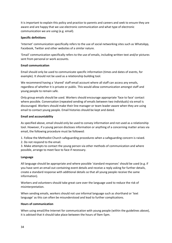It is important to explain this policy and practice to parents and careers and seek to ensure they are aware and are happy that we use electronic communication and what type of electronic communication we are using (e.g. email).

#### **Specific definitions**

'Internet' communication specifically refers to the use of social networking sites such as WhatsApp, Facebook, Twitter and other websites of a similar nature.

'Email' communication specifically refers to the use of emails, including written text and/or pictures sent from personal or work accounts.

#### **Email communication**

Email should only be used to communicate specific information (times and dates of events, for example). It should not be used as a relationship building tool.

We recommend having a 'shared' staff email account where all staff can access any emails, regardless of whether it is private or public. This would allow communication amongst staff and young people to remain safe.

Only group emails should be used. Workers should encourage appropriate 'face to face' contact where possible. Conversation (repeated sending of emails between two individuals) via email is discouraged. Workers should make their line manager or team leader aware when they are using email to contact young people. Email histories should be kept and dated.

#### **Email and accountability**

As specified above, email should only be used to convey information and not used as a relationship tool. However, if a young person discloses information or anything of a concerning matter arises via email, the following procedure must be followed:

1. Follow the Methodist Church safeguarding procedures when a safeguarding concern is raised.

2. Do not respond to the email.

3. Make attempts to contact the young person via other methods of communication and where possible, arrange to meet face to face if necessary.

#### **Language**

All language should be appropriate and where possible 'standard responses' should be used (e.g. if you have sent an email out containing event details and receive a reply asking for further details, create a standard response with additional details so that all young people receive the same information).

Workers and volunteers should take great care over the language used to reduce the risk of misinterpretation.

When sending emails, workers should not use informal language such as shorthand or 'text language' as this can often be misunderstood and lead to further complications.

#### **Hours of communication**

When using email/the Internet for communication with young people (within the guidelines above), it is advised that it should take place between the hours of 9am-5pm.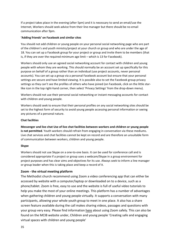If a project takes place in the evening (after 5pm) and it is necessary to send an email/use the Internet, Workers should seek advice from their line manager but there should be no email communication after 9pm.

#### **'Adding friends' on Facebook and similar sites**

You should not add children or young people on your personal social networking page who are part of the children's and youth ministry/project at your church or group and who are under the age of 18. You can set up a Facebook group for your project or group and invite them to be members (that is, if they are over the required minimum age limit – which is 13 for Facebook).

Workers should only use an agreed social networking account for contact with children and young people with whom they are working. This should normally be an account set up specifically for this purpose on behalf of a group rather than an individual (use project accounts, never personal accounts). You can set up a group via a personal Facebook account but ensure that your personal settings are secure and have limited viewing. It is possible also to set the Facebook group privacy settings so they can't see the profiles of others who have joined (on Facebook, click on the little starlike icon in the top right-hand corner, then select 'Privacy Settings' from the drop-down menu).

Workers should not use their personal social networking or instant messaging accounts for contact with children and young people.

Workers should seek to ensure that their personal profiles on any social networking sites should be set to the highest form of security to avoid young people accessing personal information or seeing any pictures of a personal nature.

#### **Chat facilities**

**Messenger and live chat Use of live chat facilities between workers and children or young people is not permitted**. Youth workers should refrain from engaging in conversation via these mediums. Live chat services and chat facilities cannot be kept on record and are therefore an unsuitable form of communication between workers, children and young people.

#### **Skype**

Workers should not use Skype on a one-to-one basis. It can be used for conference call and is considered appropriate if a project or group uses a webcam/Skype in a group environment for project purposes and has clear aims and objectives for its use. Always seek to inform a line manager or group leader when this is taking place and keep a record of it.

#### **Zoom - the virtual meeting platform**

The Methodist church recommend using Zoom a video conferencing app that can either be accessed by website with a computer/laptop or downloaded on to a device, such as a phone/tablet. Zoom is free, easy to use and the website is full of useful video tutorials to help you make the most of your online meetings. This platform has a number of advantages when gathering children and young people virtually. It supports a conversation with many participants, allowing your whole youth group to meet in one place. It also has a share screen feature available during the call makes sharing videos, passages and questions with your group very easy. Please find information [here](https://www.methodist.org.uk/our-work/children-youth-family-ministry/resources-and-help-for-lockdown-and-beyond/creating-safe-and-engaging-virtual-spaces-with-children-and-young-people/before-you-begin-some-safeguarding-pointers/) about using Zoom safely. This can also be found on the MCIB website under, Children and young people 'Creating safe and engaging virtual spaces with children and young people'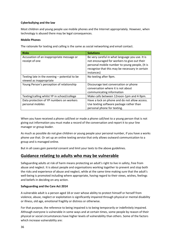#### **Cyberbullying and the law**

Most children and young people use mobile phones and the Internet appropriately. However, when technology is abused there may be legal consequences.

#### **Mobile Phones**

The rationale for texting and calling is the same as social networking and email contact.

| <b>Risks</b>                                                | <b>Solutions</b>                                                                                |
|-------------------------------------------------------------|-------------------------------------------------------------------------------------------------|
| Accusation of an inappropriate message or<br>receipt of one | Be very careful in what language you use. It is<br>not encouraged for workers to give out their |
|                                                             | personal mobile number to young people, (It is                                                  |
|                                                             | recognise that this may be necessary in certain                                                 |
|                                                             | instances)                                                                                      |
| Texting late in the evening $-$ potential to be             | No texting after 9pm.                                                                           |
| viewed as inappropriate                                     |                                                                                                 |
| Young Person's perception of relationship                   | Discourage text conversation or phone                                                           |
|                                                             | conversation where it is not about                                                              |
|                                                             | communicating information                                                                       |
| Texting/calling whilst YP in school/college                 | Make calls between 12noon-1pm and 4-9pm.                                                        |
| Data protection of YP numbers on workers                    | Have a lock on phone and do not allow access.                                                   |
| personal mobiles                                            | Use texting software package rather than                                                        |
|                                                             | personal phone for texting.                                                                     |

When you have received a phone call/text or made a phone call/text to a young person that is not giving out information you must make a record of the conversation and report it to your line manager or group leader.

As much as possible do not give children or young people your personal number, if you have a works phone use that. Or set up an online texting service that only allows outward communication to a group and is managed online.

But in all cases gain parental consent and limit your texts to the above guidelines.

## **Guidance relating to adults who may be vulnerable**

Safeguarding adults at risk of harm means protecting an adult's right to live in safety, free from abuse and neglect. It is about people and organisations working together to prevent and stop both the risks and experience of abuse and neglect, while at the same time making sure that the adult's well-being is promoted including where appropriate, having regard to their views, wishes, feelings and beliefs in deciding on any action.

#### **Safeguarding and the Care Act 2014**

A vulnerable adult is a person aged 18 or over whose ability to protect himself or herself from violence, abuse, neglect or exploitation is significantly impaired through physical or mental disability or illness, old age, emotional fragility or distress or otherwise.

For that purpose, the reference to being impaired is to being temporarily or indefinitely impaired. Although everyone is vulnerable in some ways and at certain times, some people by reason of their physical or social circumstances have higher levels of vulnerability than others. Some of the factors which increase vulnerability are: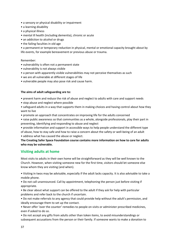- a sensory or physical disability or impairment
- a learning disability
- a physical illness
- mental ill health (including dementia), chronic or acute
- an addiction to alcohol or drugs
- the failing faculties in old age

• a permanent or temporary reduction in physical, mental or emotional capacity brought about by life events, for example bereavement or previous abuse or trauma.

#### Remember:

- vulnerability is often not a permanent state
- vulnerability is not always visible
- a person with apparently visible vulnerabilities may not perceive themselves as such
- we are all vulnerable at different stages of life
- vulnerable people may also pose risk and cause harm.

#### **The aims of adult safeguarding are to:**

- prevent harm and reduce the risk of abuse and neglect to adults with care and support needs
- stop abuse and neglect where possible
- safeguard adults in a way that supports them in making choices and having control about how they want to live
- promote an approach that concentrates on improving life for the adults concerned
- raise public awareness so that communities as a whole, alongside professionals, play their part in preventing, identifying and responding to abuse and neglect
- provide information and support in accessible ways to help people understand the different type of abuse, how to stay safe and how to raise a concern about the safety or well-being of an adult • address what has caused the abuse or neglect.

**The Creating Safer Space Foundation course contains more information on how to care for adults who may be vulnerable.**

#### **Visiting adults at home**

Most visits to adults in their own home will be straightforward as they will be well known to the Church. However, when visiting someone new for the first time, visitors should let someone else know whom they are visiting (and when).

• Visiting in twos may be advisable, especially if the adult lacks capacity. It is also advisable to take a mobile phone.

• Do not call unannounced. Call by appointment, telephoning the person just before visiting if appropriate.

• Be clear about what support can be offered to the adult if they ask for help with particular problems and refer back to the church if uncertain.

• Do not make referrals to any agency that could provide help without the adult's permission, and ideally encourage them to set up the contact.

• Never offer 'over the counter' remedies to people on visits or administer prescribed medicines, even if asked to do so.

• Do not accept any gifts from adults other than token items, to avoid misunderstandings or subsequent accusations from the person or their family. If someone wants to make a donation to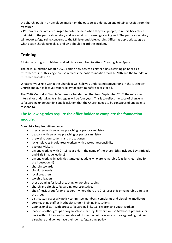the church, put it in an envelope, mark it on the outside as a donation and obtain a receipt from the treasurer.

• Pastoral visitors are encouraged to note the date when they visit people, to report back about their visit to the pastoral secretary and say what is concerning or going well. The pastoral secretary will report safeguarding concerns to the Minister and Safeguarding Officer as appropriate, agree what action should take place and who should record the incident.

## **Training**

All staff working with children and adults are required to attend Creating Safer Space.

The new Foundation Module 2020 Edition now serves as either a basic starting point or as a refresher course. This single course replaces the basic foundation module 2016 and the foundation refresher module 2016.

Whatever your role within the Church, it will help you understand safeguarding in the Methodist Church and our collective responsibility for creating safer spaces for all.

The 2016 Methodist Church Conference has decided that from September 2017, the refresher interval for undertaking training again will be four years. This is to reflect the pace of change in safeguarding understanding and legislation that the Church needs to be conscious of and able to respond to.

## **The following roles require the office holder to complete the foundation module;**

#### **Core List - Required Attendance:**

- presbyters with an active preaching or pastoral ministry
- deacons with an active preaching or pastoral ministry
- pre-ordination students and probationers
- lay employees & volunteer workers with pastoral responsibility
- pastoral Visitors
- anyone working with  $0 18$ -year olds in the name of the church (this includes Boy's Brigade and Girls Brigade leaders)
- anyone working in activities targeted at adults who are vulnerable (e.g. luncheon club for the housebound)
- church stewards
- circuit stewards
- local preachers
- worship leaders
- those training for local preaching or worship leading
- church and circuit safeguarding representatives
- choir/music group/drama leaders where there are 0-18-year olds or vulnerable adults in the group.
- district staff especially policy committee members, complaints and discipline, mediators
- core teaching staff at Methodist Church Training Institutions
- Connexional staff with direct safeguarding links e.g. children and youth workers
- leaders of other groups or organisations that regularly hire or use Methodist premises for work with children and vulnerable adults but do not have access to safeguarding training elsewhere and do not have their own safeguarding policy.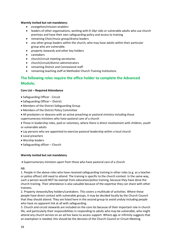#### **Warmly invited but not mandatory:**

- evangelism/mission enablers
- leaders of other organisations, working with 0-18yr olds or vulnerable adults who use church premises and have their own safeguarding policy and access to training
- remaining Choir/music group/drama leaders
- any other group leaders within the church, who may have adults within their particular group who are vulnerable.
- property stewards and other key holders
- caretakers
- church/circuit meeting secretaries
- church/circuit/district administrators
- remaining District and Connexional staff
- remaining teaching staff at Methodist Church Training Institutions

## **The following roles require the office holder to complete the Advanced Module;**

#### **Core List – Required Attendance**

- Safeguarding Officer Circuit
- Safeguarding Officer District
- Members of the District Safeguarding Group
- Members of the District Policy Committee
- All presbyters or deacons with an active preaching or pastoral ministry including those
- supernumerary ministers who have pastoral care of a church

• Those in leadership roles, paid or voluntary, where there is direct involvement with children, youth or vulnerable adults

- Lay persons who are appointed to exercise pastoral leadership within a local church
- Local preachers
- Worship leaders
- Safeguarding officer Church

#### **Warmly invited but not mandatory**

• Supernumerary ministers apart from those who have pastoral care of a church

NB.

1. People in the above roles who have received safeguarding training in other roles (e.g. as a teacher or police officer) still need to attend. The training is specific to the church context. In the same way, such a person would NOT be exempt from education/police training, because they have done the church training. Their attendance is also valuable because of the expertise they can share with other trainees.

2. Property stewards/key holders/caretakers. This covers a multitude of activities. Where these people have direct contact with vulnerable groups, it may be decided locally by the Church Council that they should attend. They are listed here in the second group to avoid unduly including people who have no apparent link at all with safeguarding.

3. Church and circuit stewards are included on the core list because of their important role in church life, and particularly their responsibilities in responding to adults who may be vulnerable, who might attend any church service on an ad hoc basis to access support. Where age or infirmity suggests that an exemption is needed, this should be the decision of the Church Council or Circuit Meeting.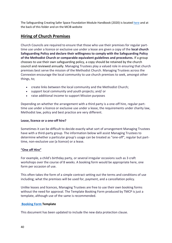The Safeguarding Creating Safer Space Foundation Module Handbook (2020) is located [here](http://www.sheffieldcircuit.org.uk/doc/D515670.pdf) and at the back of this folder and on the MCIB website

## **Hiring of Church Premises**

Church Councils are required to ensure that those who use their premises for regular parttime use under a licence or exclusive use under a lease are given a copy of the **local church Safeguarding Policy and declare their willingness to comply with the Safeguarding Policy of the Methodist Church or comparable equivalent guidelines and procedures.** If a group chooses to use their own safeguarding policy, a copy should be retained by the church council and reviewed annually. Managing Trustees play a valued role in ensuring that church premises best serve the mission of the Methodist Church. Managing Trustees across the Connexion encourage the local community to use church premises to seek, amongst other things, to;

- create links between the local community and the Methodist Church;
- support local community and youth projects; and/ or
- raise additional income to support Mission purposes

Depending on whether the arrangement with a third party is a one-off hire, regular parttime use under a licence or exclusive use under a lease, the requirements under charity law, Methodist law, policy and best practice are very different.

#### **Lease, licence or a one-off hire?**

Sometimes it can be difficult to decide exactly what sort of arrangement Managing Trustees have with a third-party group. The information below will assist Managing Trustees to determine whether a particular group's usage can be treated as "one-off", regular but parttime, non-exclusive use (a licence) or a lease.

#### **"One off Hire"**

For example, a child's birthday party, or several irregular occasions such as 3 craft workshops over the course of 8 weeks. A booking form would be appropriate here, one form per occasion of use.

This often takes the form of a simple contract setting out the terms and conditions of use including; what the premises will be used for, payment, and a cancellation policy.

Unlike leases and licences, Managing Trustees are free to use their own booking forms without the need for approval. The Template Booking Form produced by TMCP is just a template, although use of the same is recommended.

#### **[Booking Form](https://www.tmcp.org.uk/property/letting-property-and-third-party-use/resources/standard-documents-and-forms/template-booking-form) Template**

This document has been updated to include the new data protection clause.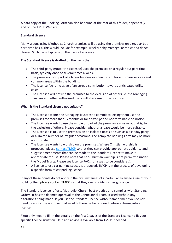A hard copy of the Booking Form can also be found at the rear of this folder, appendix (VI) and on the TMCP Website

#### **Standard Licence**

Many groups using Methodist Church premises will be using the premises on a regular but part-time basis. This would include for example, weekly baby massage, aerobics and dance classes. Such use is typically on the basis of a licence**.** 

#### **The Standard Licence is drafted on the basis that:**

- The third-party group (the Licensee) uses the premises on a regular but part-time basis, typically once or several times a week.
- The premises form part of a larger building or church complex and share services and common areas within the building.
- The Licence fee is inclusive of an agreed contribution towards anticipated utility costs.
- The Licensee will not use the premises to the exclusion of others i.e. the Managing Trustees and other authorised users will share use of the premises.

#### **When is the Standard Licence not suitable?**

- The Licensee wants the Managing Trustees to commit to letting them use the premises for more than 12months or for a fixed period not terminable on notice.
- The Licensee wants to use the whole or part of the premises exclusively, that is, to the exclusion of others. Please consider whether a lease would be more suitable.
- The Licensee is to use the premises on an isolated occasion such as a birthday party or a limited number of irregular occasions. The Template Booking Form may be more appropriate.
- The Licensee wants to worship on the premises. Where Christian worship is proposed, please [contact TMCP](https://www.tmcp.org.uk/contact) so that they can provide appropriate guidance and suggest amendments that can be made to the Standard Licence to make it appropriate for use. Please note that non-Christian worship is not permitted under the Model Trusts. Please see Licence FAQs for issues to be considered).
- A licence to use car parking spaces is proposed. TMCP is in the process of developing a specific form of car parking licence.

If any of these points do not apply in the circumstances of a particular Licensee's use of your building then please contact TMCP so that they can provide further guidance.

The Standard Licence reflects Methodist Church best practice and complies with Standing Orders. It has the deemed approval of the Connexional Team, if used without any alterations being made. If you use the Standard Licence without amendment you do not need to ask for the approval that would otherwise be required before entering into a licence.

\*You only need to fill-in the details on the first 2 pages of the Standard Licence to fit your specific licence situation. Help and advice is available from TMCP if needed.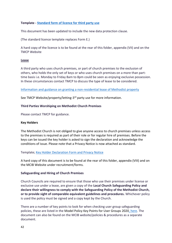#### **Template - [Standard form of licence for third party use](https://www.tmcp.org.uk/property/letting-property-and-third-party-use/resources/standard-documents-and-forms/standard-licence)**

This document has been updated to include the new data protection clause.

(The standard licence template replaces Form E.)

A hard copy of the licence is to be found at the rear of this folder, appendix (VII) and on the TMCP Website

#### **Lease**

A third party who uses church premises, or part of church premises to the exclusion of others, who holds the only set of keys or who uses church premises on a more than parttime basis i.e. Monday to Friday 8am to 8pm could be seen as enjoying exclusive possession. In these circumstances contact TMCP to discuss the type of lease to be considered.

#### [Information and guidance on granting a non-residential lease of Methodist property](https://www.tmcp.org.uk/property/letting-property-and-third-party-use/leases)

See TMCP Website/property/letting-3<sup>rd</sup> party use for more information.

#### **Third Parties Worshiping on Methodist Church Premises**

Please contact TMCP for guidance.

#### **Key Holders**

The Methodist Church is not obliged to give anyone access to church premises unless access to the premises is required as part of their role or for regular hire of premises. Before the keys can be issued the key holder is asked to sign the declaration and acknowledge the conditions of issue. Please note that a Privacy Notice is now attached as standard.

#### Template; [Key Holder Declaration Form and Privacy Notice](https://www.methodist.org.uk/safeguarding/recruitment-dbspvg-forms-etc/forms/key-holder-declaration-form-d/)

A hard copy of this document is to be found at the rear of this folder, appendix (VIII) and on the MCIB Website under recruitment/forms.

#### **Safeguarding and Hiring of Church Premises**

Church Councils are required to ensure that those who use their premises under license or exclusive use under a lease, are given a copy of the **Local Church Safeguarding Policy and declare their willingness to comply with the Safeguarding Policy of the Methodist Church, or to provide sight of comparable equivalent guidelines and procedures.** Whichever policy is used the policy must be signed and a copy kept by the Church.

There are a number of key points to look for when checking user group safeguarding policies, these are listed in the Model Policy Key Points for User Groups 202[0, here.](http://www.sheffieldcircuit.org.uk/doc/D512487.pdf) The document can also be found on the MCIB website/policies & procedures as a separate document.